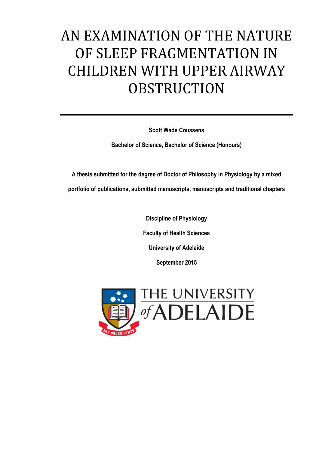# AN EXAMINATION OF THE NATURE OF SLEEP FRAGMENTATION IN CHILDREN WITH UPPER AIRWAY **OBSTRUCTION**

**Scott Wade Coussens**

**Bachelor of Science, Bachelor of Science (Honours)**

**A thesis submitted for the degree of Doctor of Philosophy in Physiology by a mixed portfolio of publications, submitted manuscripts, manuscripts and traditional chapters**

> **Discipline of Physiology Faculty of Health Sciences University of Adelaide September 2015**

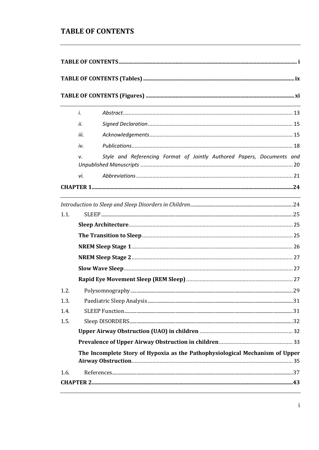#### <span id="page-2-0"></span>**TABLE OF CONTENTS**

|      | i.   |                                                                              |  |
|------|------|------------------------------------------------------------------------------|--|
|      | ii.  |                                                                              |  |
|      | iii. |                                                                              |  |
|      | iv.  |                                                                              |  |
|      | v.   | Style and Referencing Format of Jointly Authored Papers, Documents and       |  |
|      | vi.  |                                                                              |  |
|      |      |                                                                              |  |
|      |      |                                                                              |  |
| 1.1. |      |                                                                              |  |
|      |      |                                                                              |  |
|      |      |                                                                              |  |
|      |      |                                                                              |  |
|      |      |                                                                              |  |
|      |      |                                                                              |  |
|      |      |                                                                              |  |
| 1.2. |      |                                                                              |  |
| 1.3. |      |                                                                              |  |
| 1.4. |      |                                                                              |  |
| 1.5. |      |                                                                              |  |
|      |      |                                                                              |  |
|      |      |                                                                              |  |
|      |      | The Incomplete Story of Hypoxia as the Pathophysiological Mechanism of Upper |  |
|      |      |                                                                              |  |
| 1.6. |      |                                                                              |  |
|      |      |                                                                              |  |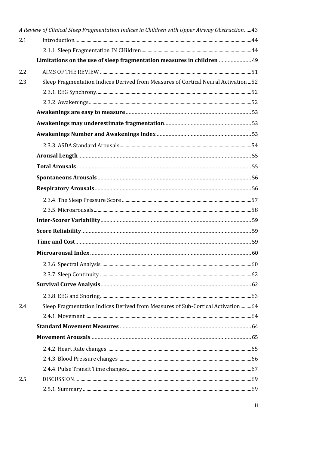|      | A Review of Clinical Sleep Fragmentation Indices in Children with Upper Airway Obstruction43 |  |
|------|----------------------------------------------------------------------------------------------|--|
| 2.1. |                                                                                              |  |
|      |                                                                                              |  |
|      | Limitations on the use of sleep fragmentation measures in children  49                       |  |
| 2.2. |                                                                                              |  |
| 2.3. | Sleep Fragmentation Indices Derived from Measures of Cortical Neural Activation  52          |  |
|      |                                                                                              |  |
|      |                                                                                              |  |
|      |                                                                                              |  |
|      |                                                                                              |  |
|      |                                                                                              |  |
|      |                                                                                              |  |
|      |                                                                                              |  |
|      |                                                                                              |  |
|      |                                                                                              |  |
|      |                                                                                              |  |
|      |                                                                                              |  |
|      |                                                                                              |  |
|      |                                                                                              |  |
|      |                                                                                              |  |
|      |                                                                                              |  |
|      |                                                                                              |  |
|      |                                                                                              |  |
|      |                                                                                              |  |
|      |                                                                                              |  |
|      |                                                                                              |  |
| 2.4. | Sleep Fragmentation Indices Derived from Measures of Sub-Cortical Activation64               |  |
|      |                                                                                              |  |
|      |                                                                                              |  |
|      |                                                                                              |  |
|      |                                                                                              |  |
|      |                                                                                              |  |
|      |                                                                                              |  |
| 2.5. |                                                                                              |  |
|      |                                                                                              |  |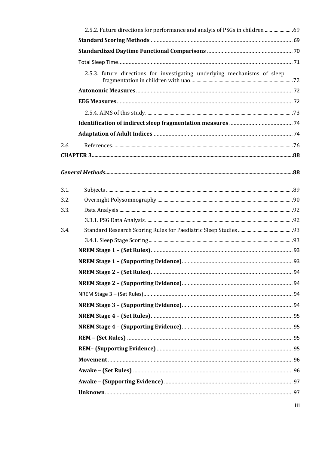|      | 2.5.2. Future directions for performance and analyis of PSGs in children  69                                         |  |
|------|----------------------------------------------------------------------------------------------------------------------|--|
|      |                                                                                                                      |  |
|      |                                                                                                                      |  |
|      |                                                                                                                      |  |
|      | 2.5.3. future directions for investigating underlying mechanisms of sleep                                            |  |
|      |                                                                                                                      |  |
|      |                                                                                                                      |  |
|      |                                                                                                                      |  |
|      |                                                                                                                      |  |
|      |                                                                                                                      |  |
| 2.6. |                                                                                                                      |  |
|      |                                                                                                                      |  |
|      |                                                                                                                      |  |
| 3.1. | <u> 1989 - Jan Salaman Santa Santa Barat da Santa Santa Barat da Santa Barat da Santa Barat da Santa Barat da Sa</u> |  |
| 3.2. |                                                                                                                      |  |
| 3.3. |                                                                                                                      |  |
|      |                                                                                                                      |  |
| 3.4. |                                                                                                                      |  |
|      |                                                                                                                      |  |
|      |                                                                                                                      |  |
|      |                                                                                                                      |  |
|      |                                                                                                                      |  |
|      |                                                                                                                      |  |
|      |                                                                                                                      |  |
|      |                                                                                                                      |  |
|      |                                                                                                                      |  |
|      |                                                                                                                      |  |
|      |                                                                                                                      |  |
|      |                                                                                                                      |  |
|      |                                                                                                                      |  |
|      |                                                                                                                      |  |
|      |                                                                                                                      |  |
|      |                                                                                                                      |  |
|      |                                                                                                                      |  |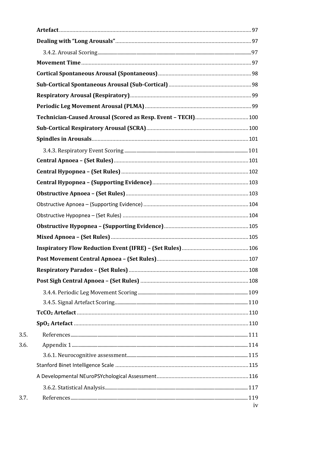|      | Technician-Caused Arousal (Scored as Resp. Event - TECH) 100 |    |
|------|--------------------------------------------------------------|----|
|      |                                                              |    |
|      |                                                              |    |
|      |                                                              |    |
|      |                                                              |    |
|      |                                                              |    |
|      |                                                              |    |
|      |                                                              |    |
|      |                                                              |    |
|      |                                                              |    |
|      |                                                              |    |
|      |                                                              |    |
|      |                                                              |    |
|      |                                                              |    |
|      |                                                              |    |
|      |                                                              |    |
|      |                                                              |    |
|      |                                                              |    |
|      |                                                              |    |
|      |                                                              |    |
| 3.5. |                                                              |    |
| 3.6. |                                                              |    |
|      |                                                              |    |
|      |                                                              |    |
|      |                                                              |    |
|      |                                                              |    |
| 3.7. |                                                              | iv |
|      |                                                              |    |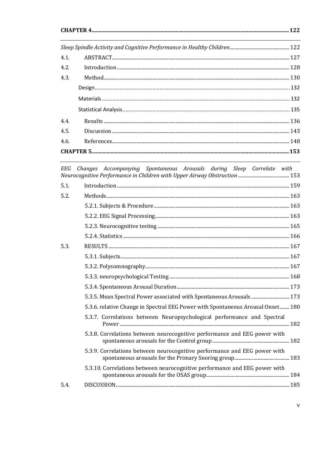|      | <u> 1999 - John Stone Barnett, skriuwer in de ferfinische Stone († 1989)</u> |  |
|------|------------------------------------------------------------------------------|--|
| 4.1. |                                                                              |  |
| 4.2. |                                                                              |  |
| 4.3. |                                                                              |  |
|      |                                                                              |  |
|      |                                                                              |  |
|      |                                                                              |  |
| 4.4. |                                                                              |  |
| 4.5. |                                                                              |  |
| 4.6. |                                                                              |  |
|      |                                                                              |  |

| 5.1. |                                                                                 |  |
|------|---------------------------------------------------------------------------------|--|
| 5.2. |                                                                                 |  |
|      |                                                                                 |  |
|      |                                                                                 |  |
|      |                                                                                 |  |
|      |                                                                                 |  |
| 5.3. |                                                                                 |  |
|      |                                                                                 |  |
|      |                                                                                 |  |
|      |                                                                                 |  |
|      |                                                                                 |  |
|      | 5.3.5. Mean Spectral Power associated with Spontaneous Arousals  173            |  |
|      | 5.3.6. relative Change in Spectral EEG Power with Spontaneous Arousal Onset 180 |  |
|      | 5.3.7. Correlations between Neuropsychological performance and Spectral         |  |
|      | 5.3.8. Correlations between neurocognitive performance and EEG power with       |  |
|      | 5.3.9. Correlations between neurocognitive performance and EEG power with       |  |
|      | 5.3.10. Correlations between neurocognitive performance and EEG power with      |  |
| 5.4. |                                                                                 |  |
|      |                                                                                 |  |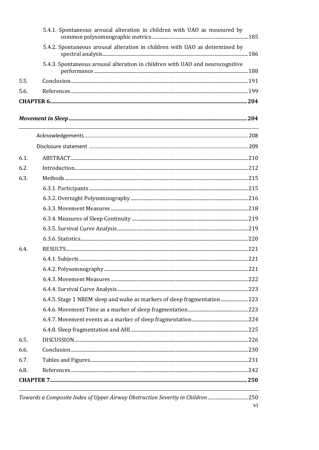|      | 5.4.1. Spontaneous arousal alteration in children with UAO as measured by      |    |
|------|--------------------------------------------------------------------------------|----|
|      | 5.4.2. Spontaneous arousal alteration in children with UAO as determined by    |    |
|      | 5.4.3. Spontaneous arousal alteration in children with UAO and neurocognitive  |    |
| 5.5. |                                                                                |    |
| 5.6. |                                                                                |    |
|      |                                                                                |    |
|      |                                                                                |    |
|      |                                                                                |    |
|      |                                                                                |    |
| 6.1. |                                                                                |    |
| 6.2. |                                                                                |    |
| 6.3. |                                                                                |    |
|      |                                                                                |    |
|      |                                                                                |    |
|      |                                                                                |    |
|      |                                                                                |    |
|      |                                                                                |    |
|      |                                                                                |    |
| 6.4. |                                                                                |    |
|      |                                                                                |    |
|      |                                                                                |    |
|      |                                                                                |    |
|      |                                                                                |    |
|      | 6.4.5. Stage 1 NREM sleep and wake as markers of sleep fragmentation 223       |    |
|      |                                                                                |    |
|      |                                                                                |    |
|      |                                                                                |    |
| 6.5. |                                                                                |    |
| 6.6. |                                                                                |    |
| 6.7. |                                                                                |    |
| 6.8. |                                                                                |    |
|      |                                                                                |    |
|      | Towards a Composite Index of Upper Airway Obstruction Severity in Children 250 |    |
|      |                                                                                | V1 |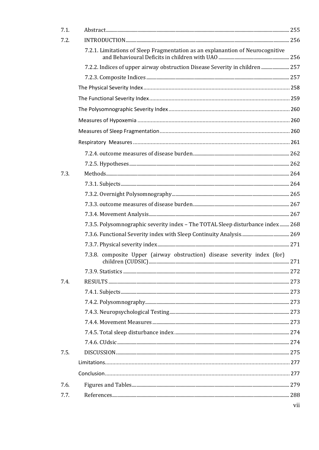| 7.1. |                                                                                |                |
|------|--------------------------------------------------------------------------------|----------------|
| 7.2. |                                                                                |                |
|      | 7.2.1. Limitations of Sleep Fragmentation as an explanantion of Neurocognitive |                |
|      | 7.2.2. Indices of upper airway obstruction Disease Severity in children  257   |                |
|      |                                                                                |                |
|      |                                                                                |                |
|      |                                                                                |                |
|      |                                                                                |                |
|      |                                                                                |                |
|      |                                                                                |                |
|      |                                                                                |                |
|      |                                                                                |                |
|      |                                                                                |                |
| 7.3. |                                                                                |                |
|      |                                                                                |                |
|      |                                                                                |                |
|      |                                                                                |                |
|      |                                                                                |                |
|      | 7.3.5. Polysomnographic severity index - The TOTAL Sleep disturbance index 268 |                |
|      |                                                                                |                |
|      |                                                                                |                |
|      | 7.3.8. composite Upper (airway obstruction) disease severity index (for)       |                |
|      |                                                                                |                |
| 7.4. |                                                                                |                |
|      |                                                                                |                |
|      |                                                                                |                |
|      |                                                                                |                |
|      |                                                                                |                |
|      |                                                                                |                |
|      |                                                                                |                |
| 7.5. |                                                                                |                |
|      |                                                                                |                |
|      |                                                                                |                |
| 7.6. |                                                                                |                |
| 7.7. |                                                                                |                |
|      |                                                                                | V <sub>i</sub> |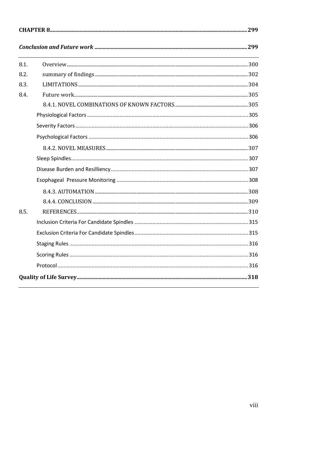| 8.1. |  |  |  |
|------|--|--|--|
| 8.2. |  |  |  |
| 8.3. |  |  |  |
| 8.4. |  |  |  |
|      |  |  |  |
|      |  |  |  |
|      |  |  |  |
|      |  |  |  |
|      |  |  |  |
|      |  |  |  |
|      |  |  |  |
|      |  |  |  |
|      |  |  |  |
|      |  |  |  |
| 8.5. |  |  |  |
|      |  |  |  |
|      |  |  |  |
|      |  |  |  |
|      |  |  |  |
|      |  |  |  |
|      |  |  |  |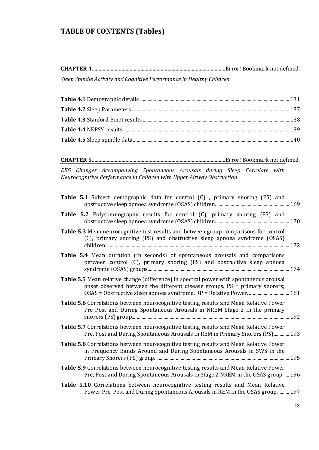#### <span id="page-10-0"></span>**TABLE OF CONTENTS (Tables)**

**CHAPTER 4...................................................................................................**Error! Bookmark not defined.

*Sleep Spindle Activity and Cognitive Performance in Healthy Children*

**CHAPTER 5...................................................................................................**Error! Bookmark not defined.

*EEG Changes Accompanying Spontaneous Arousals during Sleep Correlate with Neurocognitive Performance in Children with Upper Airway Obstruction*

| <b>Table 5.1</b> Subject demographic data for control (C), primary snoring (PS) and                                                                                         |  |
|-----------------------------------------------------------------------------------------------------------------------------------------------------------------------------|--|
| Table 5.2 Polysomnography results for control (C), primary snoring (PS) and                                                                                                 |  |
| Table 5.3 Mean neurocognitive test results and between group comparisons for control<br>(C), primary snoring (PS) and obstructive sleep apnoea syndrome (OSAS)              |  |
| Table 5.4 Mean duration (in seconds) of spontaneous arousals and comparisons<br>between control (C), primary snoring (PS) and obstructive sleep apnoea                      |  |
| <b>Table 5.5</b> Mean relative change (difference) in spectral power with spontaneous arousal<br>onset observed between the different disease groups. PS = primary snorers; |  |
| Table 5.6 Correlations between neurocognitive testing results and Mean Relative Power<br>Pre Post and During Spontaneous Arousals in NREM Stage 2 in the primary            |  |
| Table 5.7 Correlations between neurocognitive testing results and Mean Relative Power<br>Pre, Post and During Spontaneous Arousals in REM in Primary Snorers (PS) 193       |  |
| Table 5.8 Correlations between neurocognitive testing results and Mean Relative Power<br>in Frequency Bands Around and During Spontaneous Arousals in SWS in the            |  |
| Table 5.9 Correlations between neurocognitive testing results and Mean Relative Power<br>Pre, Post and During Spontaneous Arousals in Stage 2 NREM in the OSAS group.  196  |  |
| Table 5.10 Correlations between neurocognitive testing results and Mean Relative<br>Power Pre, Post and During Spontaneous Arousals in REM in the OSAS group 197            |  |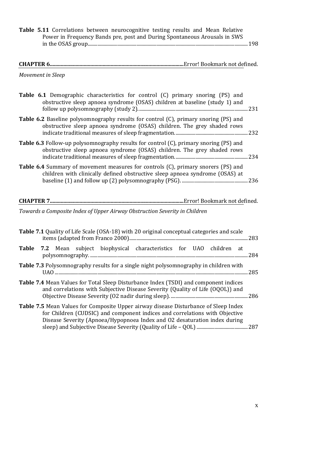**Table 5.11** Correlations between neurocognitive testing results and Mean Relative Power in Frequency Bands pre, post and During Spontaneous Arousals in SWS in the OSAS group...................................................................................................................................198

#### **CHAPTER 6...................................................................................................**Error! Bookmark not defined.

*Movement in Sleep*

| <b>Table 6.1</b> Demographic characteristics for control (C) primary snoring (PS) and<br>obstructive sleep apnoea syndrome (OSAS) children at baseline (study 1) and    |
|-------------------------------------------------------------------------------------------------------------------------------------------------------------------------|
|                                                                                                                                                                         |
| <b>Table 6.2</b> Baseline polysomnography results for control (C), primary snoring (PS) and<br>obstructive sleep apnoea syndrome (OSAS) children. The grey shaded rows  |
| <b>Table 6.3</b> Follow-up polysomnography results for control (C), primary snoring (PS) and<br>obstructive sleep apnoea syndrome (OSAS) children. The grey shaded rows |
| Table 6.4 Summary of movement measures for controls (C), primary snorers (PS) and<br>children with clinically defined obstructive sleep apnoea syndrome (OSAS) at       |
|                                                                                                                                                                         |
| Towards a Composite Index of Upper Airway Obstruction Severity in Children                                                                                              |
| Table 7.1 Quality of Life Scale (OSA-18) with 20 original conceptual categories and scale                                                                               |
|                                                                                                                                                                         |
| Table 7.2 Mean subject biophysical characteristics for UAO children at                                                                                                  |
| <b>Table 7.3</b> Polysomnography results for a single night polysomnography in children with                                                                            |

| <b>Table 7.4</b> Mean Values for Total Sleep Disturbance Index (TSDI) and component indices<br>and correlations with Subjective Disease Severity (Quality of Life (OQOL)) and |  |
|-------------------------------------------------------------------------------------------------------------------------------------------------------------------------------|--|
| <b>Table 7.5</b> Mean Values for Composite Upper airway disease Disturbance of Sleep Index                                                                                    |  |

for Children (CUDSIC) and component indices and correlations with Objective Disease Severity (Apnoea/Hypopnoea Index and O2 desaturation index during sleep) and Subjective Disease Severity (Quality of Life – QOL)..........................................287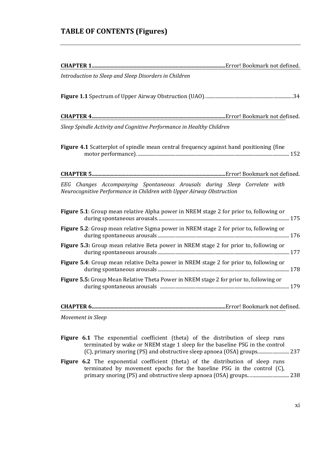#### <span id="page-12-0"></span>**TABLE OF CONTENTS (Figures)**

| Introduction to Sleep and Sleep Disorders in Children                                                                                             |
|---------------------------------------------------------------------------------------------------------------------------------------------------|
|                                                                                                                                                   |
|                                                                                                                                                   |
| Sleep Spindle Activity and Cognitive Performance in Healthy Children                                                                              |
| <b>Figure 4.1</b> Scatterplot of spindle mean central frequency against hand positioning (fine                                                    |
|                                                                                                                                                   |
| EEG Changes Accompanying Spontaneous Arousals during Sleep Correlate with<br>Neurocognitive Performance in Children with Upper Airway Obstruction |
| <b>Figure 5.1</b> : Group mean relative Alpha power in NREM stage 2 for prior to, following or                                                    |
| Figure 5.2: Group mean relative Sigma power in NREM stage 2 for prior to, following or                                                            |
| Figure 5.3: Group mean relative Beta power in NREM stage 2 for prior to, following or                                                             |
| Figure 5.4: Group mean relative Delta power in NREM stage 2 for prior to, following or                                                            |
| <b>Figure 5.5:</b> Group Mean Relative Theta Power in NREM stage 2 for prior to, following or                                                     |
|                                                                                                                                                   |
| Movement in Sleep                                                                                                                                 |

- Figure 6.1 The exponential coefficient (theta) of the distribution of sleep runs terminated by wake or NREM stage 1 sleep for the baseline PSG in the control (C), primary snoring (PS) and obstructive sleep apnoea (OSA) groups..........................237
- Figure 6.2 The exponential coefficient (theta) of the distribution of sleep runs terminated by movement epochs for the baseline PSG in the control (C), primary snoring (PS) and obstructive sleep apnoea (OSA) groups.. ................................238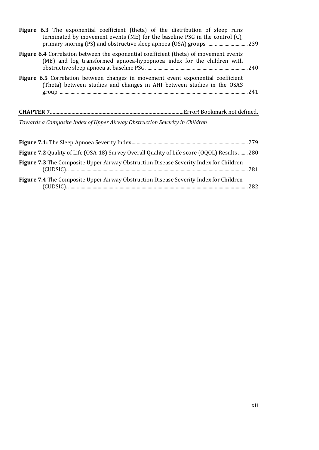| <b>Figure 6.3</b> The exponential coefficient (theta) of the distribution of sleep runs<br>terminated by movement events (ME) for the baseline PSG in the control $(C)$ , |  |
|---------------------------------------------------------------------------------------------------------------------------------------------------------------------------|--|
| Figure 6.4 Correlation between the exponential coefficient (theta) of movement events<br>(ME) and log transformed apnoea-hypopnoea index for the children with            |  |
| Figure 6.5 Correlation between changes in movement event exponential coefficient<br>(Theta) between studies and changes in AHI between studies in the OSAS                |  |
|                                                                                                                                                                           |  |
| Towards a Composite Index of Upper Airway Obstruction Severity in Children                                                                                                |  |
|                                                                                                                                                                           |  |
| Figure 7.2 Quality of Life (OSA-18) Survey Overall Quality of Life score (OQOL) Results  280                                                                              |  |
| <b>Figure 7.3</b> The Composite Upper Airway Obstruction Disease Severity Index for Children                                                                              |  |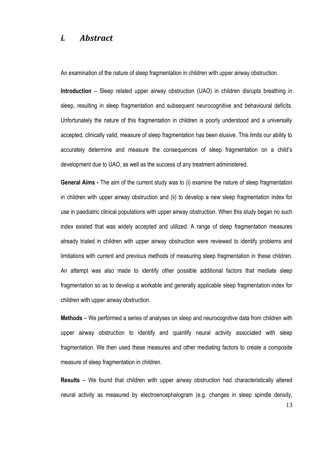#### <span id="page-14-0"></span>*i. Abstract*

An examination of the nature of sleep fragmentation in children with upper airway obstruction.

**Introduction** – Sleep related upper airway obstruction (UAO) in children disrupts breathing in sleep, resulting in sleep fragmentation and subsequent neurocognitive and behavioural deficits. Unfortunately the nature of this fragmentation in children is poorly understood and a universally accepted, clinically valid, measure of sleep fragmentation has been elusive. This limits our ability to accurately determine and measure the consequences of sleep fragmentation on a child's development due to UAO, as well as the success of any treatment administered.

**General Aims -** The aim of the current study was to (i) examine the nature of sleep fragmentation in children with upper airway obstruction and (ii) to develop a new sleep fragmentation index for use in paediatric clinical populations with upper airway obstruction. When this study began no such index existed that was widely accepted and utilized. A range of sleep fragmentation measures already trialed in children with upper airway obstruction were reviewed to identify problems and limitations with current and previous methods of measuring sleep fragmentation in these children. An attempt was also made to identify other possible additional factors that mediate sleep fragmentation so as to develop a workable and generally applicable sleep fragmentation index for children with upper airway obstruction.

**Methods** – We performed a series of analyses on sleep and neurocognitive data from children with upper airway obstruction to identify and quantify neural activity associated with sleep fragmentation. We then used these measures and other mediating factors to create a composite measure of sleep fragmentation in children.

**Results** – We found that children with upper airway obstruction had characteristically altered neural activity as measured by electroencephalogram (e.g. changes in sleep spindle density,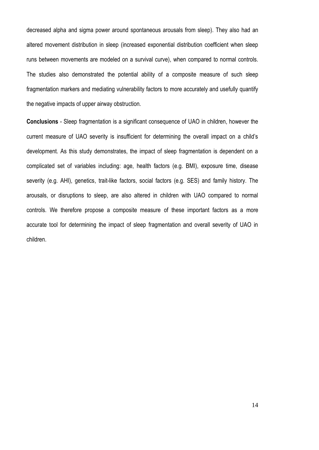decreased alpha and sigma power around spontaneous arousals from sleep). They also had an altered movement distribution in sleep (increased exponential distribution coefficient when sleep runs between movements are modeled on a survival curve), when compared to normal controls. The studies also demonstrated the potential ability of a composite measure of such sleep fragmentation markers and mediating vulnerability factors to more accurately and usefully quantify the negative impacts of upper airway obstruction.

**Conclusions** - Sleep fragmentation is a significant consequence of UAO in children, however the current measure of UAO severity is insufficient for determining the overall impact on a child's development. As this study demonstrates, the impact of sleep fragmentation is dependent on a complicated set of variables including: age, health factors (e.g. BMI), exposure time, disease severity (e.g. AHI), genetics, trait-like factors, social factors (e.g. SES) and family history. The arousals, or disruptions to sleep, are also altered in children with UAO compared to normal controls. We therefore propose a composite measure of these important factors as a more accurate tool for determining the impact of sleep fragmentation and overall severity of UAO in children.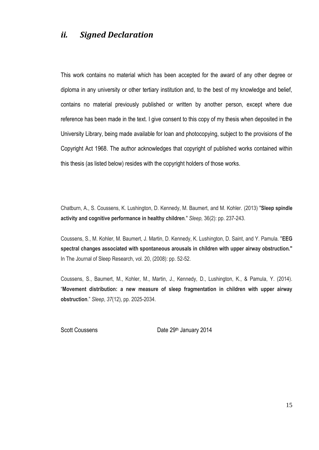#### <span id="page-16-0"></span>*ii. Signed Declaration*

This work contains no material which has been accepted for the award of any other degree or diploma in any university or other tertiary institution and, to the best of my knowledge and belief, contains no material previously published or written by another person, except where due reference has been made in the text. I give consent to this copy of my thesis when deposited in the University Library, being made available for loan and photocopying, subject to the provisions of the Copyright Act 1968. The author acknowledges that copyright of published works contained within this thesis (as listed below) resides with the copyright holders of those works.

Chatburn, A., S. Coussens, K. Lushington, D. Kennedy, M. Baumert, and M. Kohler. (2013) "**Sleep spindle activity and cognitive performance in healthy children**." *Sleep,* 36(2): pp. 237-243.

Coussens, S., M. Kohler, M. Baumert, J. Martin, D. Kennedy, K. Lushington, D. Saint, and Y. Pamula. "**EEG spectral changes associated with spontaneous arousals in children with upper airway obstruction."** In The Journal of Sleep Research, vol. 20, (2008): pp. 52-52.

Coussens, S., Baumert, M., Kohler, M., Martin, J., Kennedy, D., Lushington, K., & Pamula, Y. (2014). "**Movement distribution: a new measure of sleep fragmentation in children with upper airway obstruction**." *Sleep*, *37*(12), pp. 2025-2034.

<span id="page-16-1"></span>

Scott Coussens **Date 29th January 2014**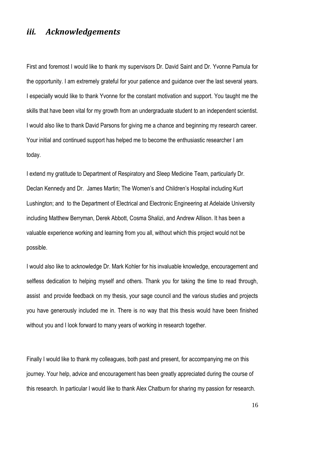#### *iii. Acknowledgements*

First and foremost I would like to thank my supervisors Dr. David Saint and Dr. Yvonne Pamula for the opportunity. I am extremely grateful for your patience and guidance over the last several years. I especially would like to thank Yvonne for the constant motivation and support. You taught me the skills that have been vital for my growth from an undergraduate student to an independent scientist. I would also like to thank David Parsons for giving me a chance and beginning my research career. Your initial and continued support has helped me to become the enthusiastic researcher I am today.

I extend my gratitude to Department of Respiratory and Sleep Medicine Team, particularly Dr. Declan Kennedy and Dr. James Martin; The Women's and Children's Hospital including Kurt Lushington; and to the Department of Electrical and Electronic Engineering at Adelaide University including Matthew Berryman, Derek Abbott, Cosma Shalizi, and Andrew Allison. It has been a valuable experience working and learning from you all, without which this project would not be possible.

I would also like to acknowledge Dr. Mark Kohler for his invaluable knowledge, encouragement and selfless dedication to helping myself and others. Thank you for taking the time to read through, assist and provide feedback on my thesis, your sage council and the various studies and projects you have generously included me in. There is no way that this thesis would have been finished without you and I look forward to many years of working in research together.

Finally I would like to thank my colleagues, both past and present, for accompanying me on this journey. Your help, advice and encouragement has been greatly appreciated during the course of this research. In particular I would like to thank Alex Chatburn for sharing my passion for research.

16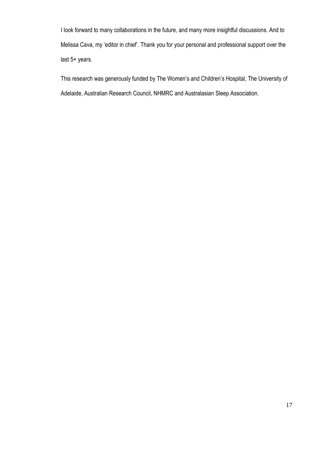I look forward to many collaborations in the future, and many more insightful discussions. And to Melissa Cava, my 'editor in chief'. Thank you for your personal and professional support over the last 5+ years.

This research was generously funded by The Women's and Children's Hospital, The University of Adelaide, Australian Research Council, NHMRC and Australasian Sleep Association.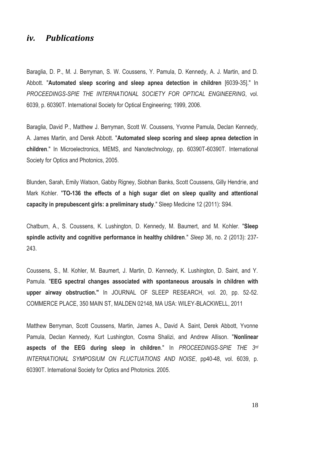#### <span id="page-19-0"></span>*iv. Publications*

Baraglia, D. P., M. J. Berryman, S. W. Coussens, Y. Pamula, D. Kennedy, A. J. Martin, and D. Abbott. "**Automated sleep scoring and sleep apnea detection in children** [6039-35]." In *PROCEEDINGS-SPIE THE INTERNATIONAL SOCIETY FOR OPTICAL ENGINEERING*, vol. 6039, p. 60390T. International Society for Optical Engineering; 1999, 2006.

Baraglia, David P., Matthew J. Berryman, Scott W. Coussens, Yvonne Pamula, Declan Kennedy, A. James Martin, and Derek Abbott. "**Automated sleep scoring and sleep apnea detection in children**." In Microelectronics, MEMS, and Nanotechnology, pp. 60390T-60390T. International Society for Optics and Photonics, 2005.

Blunden, Sarah, Emily Watson, Gabby Rigney, Siobhan Banks, Scott Coussens, Gilly Hendrie, and Mark Kohler. "**TO-136 the effects of a high sugar diet on sleep quality and attentional capacity in prepubescent girls: a preliminary study**." Sleep Medicine 12 (2011): S94.

Chatburn, A., S. Coussens, K. Lushington, D. Kennedy, M. Baumert, and M. Kohler. "**Sleep spindle activity and cognitive performance in healthy children**." *Sleep* 36, no. 2 (2013): 237- 243.

Coussens, S., M. Kohler, M. Baumert, J. Martin, D. Kennedy, K. Lushington, D. Saint, and Y. Pamula. "**EEG spectral changes associated with spontaneous arousals in children with upper airway obstruction."** In JOURNAL OF SLEEP RESEARCH, vol. 20, pp. 52-52. COMMERCE PLACE, 350 MAIN ST, MALDEN 02148, MA USA: WILEY-BLACKWELL, 2011

Matthew Berryman, Scott Coussens, Martin, James A., David A. Saint, Derek Abbott, Yvonne Pamula, Declan Kennedy, Kurt Lushington, Cosma Shalizi, and Andrew Allison. "**Nonlinear aspects of the EEG during sleep in children**." In *PROCEEDINGS-SPIE THE 3rd INTERNATIONAL SYMPOSIUM ON FLUCTUATIONS AND NOISE*, pp40-48, vol. 6039, p. 60390T. International Society for Optics and Photonics. 2005.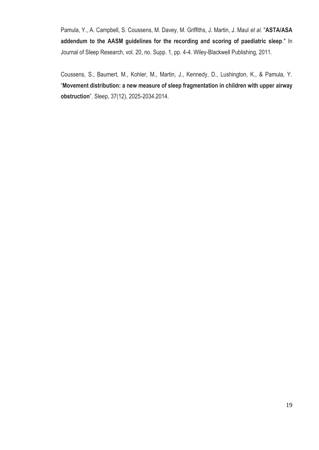Pamula, Y., A. Campbell, S. Coussens, M. Davey, M. Griffiths, J. Martin, J. Maul *et al*. "**ASTA/ASA addendum to the AASM guidelines for the recording and scoring of paediatric sleep**." In Journal of Sleep Research, vol. 20, no. Supp. 1, pp. 4-4. Wiley-Blackwell Publishing, 2011.

Coussens, S., Baumert, M., Kohler, M., Martin, J., Kennedy, D., Lushington, K., & Pamula, Y. "**Movement distribution: a new measure of sleep fragmentation in children with upper airway obstruction**". Sleep, 37(12), 2025-2034.2014.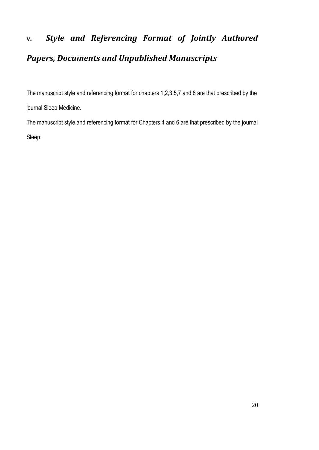## <span id="page-21-0"></span>**v.** *Style and Referencing Format of Jointly Authored Papers, Documents and Unpublished Manuscripts*

The manuscript style and referencing format for chapters 1,2,3,5,7 and 8 are that prescribed by the journal Sleep Medicine.

The manuscript style and referencing format for Chapters 4 and 6 are that prescribed by the journal Sleep.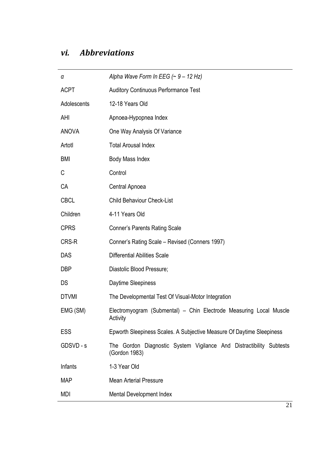### <span id="page-22-0"></span>*vi. Abbreviations*

| α            | Alpha Wave Form In EEG $($ ~ 9 - 12 Hz)                                              |
|--------------|--------------------------------------------------------------------------------------|
| <b>ACPT</b>  | <b>Auditory Continuous Performance Test</b>                                          |
| Adolescents  | 12-18 Years Old                                                                      |
| AHI          | Apnoea-Hypopnea Index                                                                |
| <b>ANOVA</b> | One Way Analysis Of Variance                                                         |
| Artotl       | <b>Total Arousal Index</b>                                                           |
| <b>BMI</b>   | Body Mass Index                                                                      |
| C            | Control                                                                              |
| CA           | Central Apnoea                                                                       |
| <b>CBCL</b>  | <b>Child Behaviour Check-List</b>                                                    |
| Children     | 4-11 Years Old                                                                       |
| <b>CPRS</b>  | <b>Conner's Parents Rating Scale</b>                                                 |
| CRS-R        | Conner's Rating Scale - Revised (Conners 1997)                                       |
| <b>DAS</b>   | <b>Differential Abilities Scale</b>                                                  |
| <b>DBP</b>   | Diastolic Blood Pressure;                                                            |
| <b>DS</b>    | Daytime Sleepiness                                                                   |
| <b>DTVMI</b> | The Developmental Test Of Visual-Motor Integration                                   |
| EMG (SM)     | Electromyogram (Submental) - Chin Electrode Measuring Local Muscle<br>Activity       |
| ESS          | Epworth Sleepiness Scales. A Subjective Measure Of Daytime Sleepiness                |
| GDSVD - s    | The Gordon Diagnostic System Vigilance And Distractibility Subtests<br>(Gordon 1983) |
| Infants      | 1-3 Year Old                                                                         |
| <b>MAP</b>   | <b>Mean Arterial Pressure</b>                                                        |
| MDI          | Mental Development Index                                                             |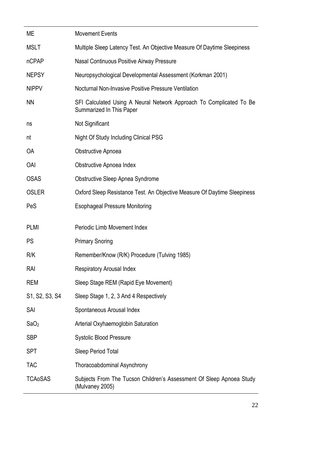| МE               | <b>Movement Events</b>                                                                          |
|------------------|-------------------------------------------------------------------------------------------------|
| <b>MSLT</b>      | Multiple Sleep Latency Test. An Objective Measure Of Daytime Sleepiness                         |
| nCPAP            | Nasal Continuous Positive Airway Pressure                                                       |
| <b>NEPSY</b>     | Neuropsychological Developmental Assessment (Korkman 2001)                                      |
| <b>NIPPV</b>     | Nocturnal Non-Invasive Positive Pressure Ventilation                                            |
| <b>NN</b>        | SFI Calculated Using A Neural Network Approach To Complicated To Be<br>Summarized In This Paper |
| ns               | Not Significant                                                                                 |
| nt               | Night Of Study Including Clinical PSG                                                           |
| <b>OA</b>        | Obstructive Apnoea                                                                              |
| <b>OAI</b>       | <b>Obstructive Apnoea Index</b>                                                                 |
| <b>OSAS</b>      | Obstructive Sleep Apnea Syndrome                                                                |
| <b>OSLER</b>     | Oxford Sleep Resistance Test. An Objective Measure Of Daytime Sleepiness                        |
| PeS              | <b>Esophageal Pressure Monitoring</b>                                                           |
| <b>PLMI</b>      | Periodic Limb Movement Index                                                                    |
| <b>PS</b>        | <b>Primary Snoring</b>                                                                          |
| R/K              | Remember/Know (R/K) Procedure (Tulving 1985)                                                    |
| RAI              | <b>Respiratory Arousal Index</b>                                                                |
| <b>REM</b>       | Sleep Stage REM (Rapid Eye Movement)                                                            |
| S1, S2, S3, S4   | Sleep Stage 1, 2, 3 And 4 Respectively                                                          |
| SAI              | Spontaneous Arousal Index                                                                       |
| SaO <sub>2</sub> | Arterial Oxyhaemoglobin Saturation                                                              |
| <b>SBP</b>       | <b>Systolic Blood Pressure</b>                                                                  |
| <b>SPT</b>       | Sleep Period Total                                                                              |
| <b>TAC</b>       | Thoracoabdominal Asynchrony                                                                     |
| <b>TCAoSAS</b>   | Subjects From The Tucson Children's Assessment Of Sleep Apnoea Study<br>(Mulvaney 2005)         |